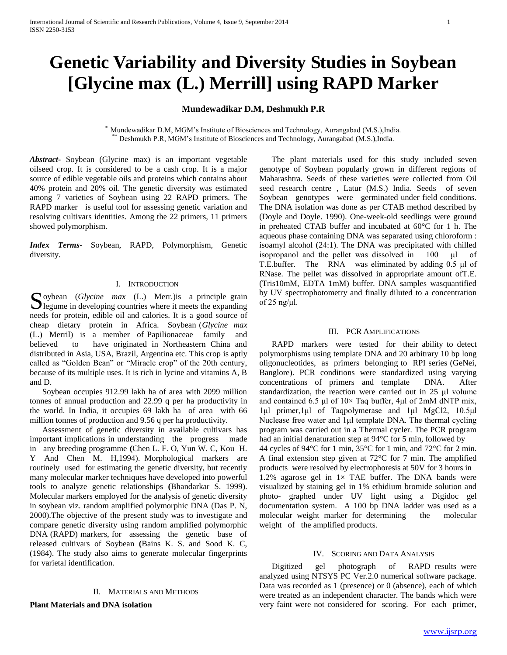# **Genetic Variability and Diversity Studies in Soybean [Glycine max (L.) Merrill] using RAPD Marker**

## **Mundewadikar D.M, Deshmukh P.R**

\* Mundewadikar D.M, MGM's Institute of Biosciences and Technology, Aurangabad (M.S.),India. Deshmukh P.R, MGM's Institute of Biosciences and Technology, Aurangabad (M.S.),India.

*Abstract***-** Soybean (Glycine max) is an important vegetable oilseed crop. It is considered to be a cash crop. It is a major source of edible vegetable oils and proteins which contains about 40% protein and 20% oil. The genetic diversity was estimated among 7 varieties of Soybean using 22 RAPD primers. The RAPD marker is useful tool for assessing genetic variation and resolving cultivars identities. Among the 22 primers, 11 primers showed polymorphism.

*Index Terms*- Soybean, RAPD, Polymorphism, Genetic diversity.

## I. INTRODUCTION

oybean (*Glycine max* (L.) Merr.)is a principle grain Soybean  $(Glycine$  max  $(L)$  Merr.) is a principle grain legume in developing countries where it meets the expanding needs for protein, edible oil and calories. It is a good source of cheap dietary protein in Africa. Soybean (*Glycine max*  (L.) Merril) is a member of Papilionaceae family and believed to have originated in Northeastern China and distributed in Asia, USA, Brazil, Argentina etc. This crop is aptly called as "Golden Bean" or "Miracle crop" of the 20th century, because of its multiple uses. It is rich in lycine and vitamins A, B and D.

 Soybean occupies 912.99 lakh ha of area with 2099 million tonnes of annual production and 22.99 q per ha productivity in the world. In India, it occupies 69 lakh ha of area with 66 million tonnes of production and 9.56 q per ha productivity.

 Assessment of genetic diversity in available cultivars has important implications in understanding the progress made in any breeding programme **(**Chen L. F. O, Yun W. C, Kou H. Y And Chen M. H,1994). Morphological markers are routinely used for estimating the genetic diversity, but recently many molecular marker techniques have developed into powerful tools to analyze genetic relationships **(**Bhandarkar S. 1999). Molecular markers employed for the analysis of genetic diversity in soybean viz. random amplified polymorphic DNA (Das P. N, 2000).The objective of the present study was to investigate and compare genetic diversity using random amplified polymorphic DNA (RAPD) markers, for assessing the genetic base of released cultivars of Soybean **(**Bains K. S. and Sood K. C, (1984). The study also aims to generate molecular fingerprints for varietal identification.

## II. MATERIALS AND METHODS

**Plant Materials and DNA isolation**

 The plant materials used for this study included seven genotype of Soybean popularly grown in different regions of Maharashtra. Seeds of these varieties were collected from Oil seed research centre , Latur (M.S.) India. Seeds of seven Soybean genotypes were germinated under field conditions. The DNA isolation was done as per CTAB method described by (Doyle and Doyle. 1990). One-week-old seedlings were ground in preheated CTAB buffer and incubated at 60°C for 1 h. The aqueous phase containing DNA was separated using chloroform : isoamyl alcohol (24:1). The DNA was precipitated with chilled isopropanol and the pellet was dissolved in 100 μl of T.E.buffer. The RNA was eliminated by adding 0.5 μl of RNase. The pellet was dissolved in appropriate amount ofT.E. (Tris10mM, EDTA 1mM) buffer. DNA samples wasquantified by UV spectrophotometry and finally diluted to a concentration of 25 ng/ $\mu$ l.

#### III. PCR AMPLIFICATIONS

 RAPD markers were tested for their ability to detect polymorphisms using template DNA and 20 arbitrary 10 bp long oligonucleotides, as primers belonging to RPI series (GeNei, Banglore). PCR conditions were standardized using varying concentrations of primers and template DNA. After standardization, the reaction were carried out in 25 μl volume and contained 6.5 μl of  $10 \times$  Taq buffer, 4μl of 2mM dNTP mix, 1μl primer,1μl of Taqpolymerase and 1μl MgCl2, 10.5μl Nuclease free water and 1μl template DNA. The thermal cycling program was carried out in a Thermal cycler. The PCR program had an initial denaturation step at 94°C for 5 min, followed by 44 cycles of 94°C for 1 min, 35°C for 1 min, and 72°C for 2 min. A final extension step given at 72°C for 7 min. The amplified products were resolved by electrophoresis at 50V for 3 hours in 1.2% agarose gel in  $1 \times$  TAE buffer. The DNA bands were visualized by staining gel in 1% ethidium bromide solution and photo- graphed under UV light using a Digidoc gel documentation system. A 100 bp DNA ladder was used as a molecular weight marker for determining the molecular weight of the amplified products.

## IV. SCORING AND DATA ANALYSIS

 Digitized gel photograph of RAPD results were analyzed using NTSYS PC Ver.2.0 numerical software package. Data was recorded as 1 (presence) or 0 (absence), each of which were treated as an independent character. The bands which were very faint were not considered for scoring. For each primer,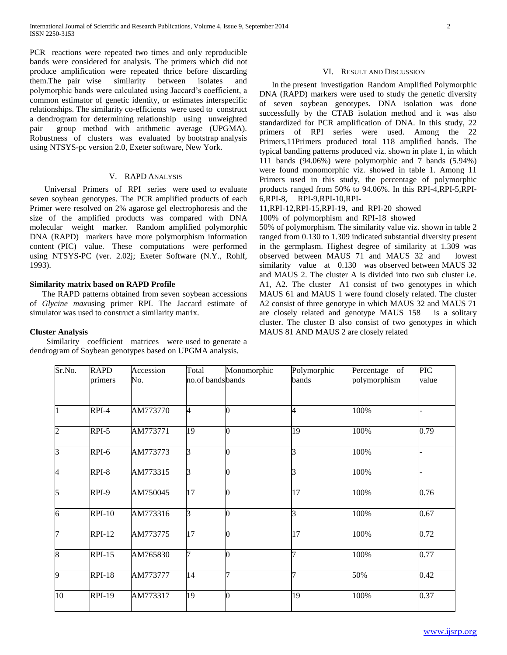PCR reactions were repeated two times and only reproducible bands were considered for analysis. The primers which did not produce amplification were repeated thrice before discarding them.The pair wise similarity between isolates and polymorphic bands were calculated using Jaccard's coefficient, a common estimator of genetic identity, or estimates interspecific relationships. The similarity co-efficients were used to construct a dendrogram for determining relationship using unweighted pair group method with arithmetic average (UPGMA). Robustness of clusters was evaluated by bootstrap analysis using NTSYS-pc version 2.0, Exeter software, New York.

## V. RAPD ANALYSIS

 Universal Primers of RPI series were used to evaluate seven soybean genotypes. The PCR amplified products of each Primer were resolved on 2% agarose gel electrophoresis and the size of the amplified products was compared with DNA molecular weight marker. Random amplified polymorphic DNA (RAPD) markers have more polymorphism information content (PIC) value. These computations were performed using NTSYS-PC (ver. 2.02j; Exeter Software (N.Y., Rohlf, 1993).

## **Similarity matrix based on RAPD Profile**

 The RAPD patterns obtained from seven soybean accessions of *Glycine max*using primer RPI. The Jaccard estimate of simulator was used to construct a similarity matrix.

## **Cluster Analysis**

 Similarity coefficient matrices were used to generate a dendrogram of Soybean genotypes based on UPGMA analysis.

## VI. RESULT AND DISCUSSION

 In the present investigation Random Amplified Polymorphic DNA (RAPD) markers were used to study the genetic diversity of seven soybean genotypes. DNA isolation was done successfully by the CTAB isolation method and it was also standardized for PCR amplification of DNA. In this study, 22 primers of RPI series were used. Among the 22 Primers,11Primers produced total 118 amplified bands. The typical banding patterns produced viz. shown in plate 1, in which 111 bands (94.06%) were polymorphic and 7 bands (5.94%) were found monomorphic viz. showed in table 1. Among 11 Primers used in this study, the percentage of polymorphic products ranged from 50% to 94.06%. In this RPI-4,RPI-5,RPI-6,RPI-8, RPI-9,RPI-10,RPI-

11,RPI-12,RPI-15,RPI-19, and RPI-20 showed

100% of polymorphism and RPI-18 showed

50% of polymorphism. The similarity value viz. shown in table 2 ranged from 0.130 to 1.309 indicated substantial diversity present in the germplasm. Highest degree of similarity at 1.309 was observed between MAUS 71 and MAUS 32 and lowest similarity value at 0.130 was observed between MAUS 32 and MAUS 2. The cluster A is divided into two sub cluster i.e. A1, A2. The cluster A1 consist of two genotypes in which MAUS 61 and MAUS 1 were found closely related. The cluster A2 consist of three genotype in which MAUS 32 and MAUS 71 are closely related and genotype MAUS 158 is a solitary cluster. The cluster B also consist of two genotypes in which MAUS 81 AND MAUS 2 are closely related

| Sr.No.         | <b>RAPD</b>   | Accession | Total<br>no.of bands bands | Monomorphic | Polymorphic<br>bands | Percentage of | <b>PIC</b> |
|----------------|---------------|-----------|----------------------------|-------------|----------------------|---------------|------------|
|                | primers       | No.       |                            |             |                      | polymorphism  | value      |
| $\overline{1}$ | RPI-4         | AM773770  | $\overline{A}$             |             | 4                    | 100%          |            |
| $\overline{2}$ | RPI-5         | AM773771  | 19                         | 0           | 19                   | 100%          | 0.79       |
| $\overline{3}$ | RPI-6         | AM773773  | 3                          | 0           | 3                    | 100%          |            |
| 4              | RPI-8         | AM773315  | 3                          | 0           | 3                    | 100%          |            |
| $\overline{5}$ | RPI-9         | AM750045  | $\overline{17}$            | 0           | $\overline{17}$      | 100%          | 0.76       |
| $\overline{6}$ | <b>RPI-10</b> | AM773316  | $\overline{3}$             |             | $\overline{3}$       | 100%          | 0.67       |
| $\overline{7}$ | <b>RPI-12</b> | AM773775  | 17                         |             | 17                   | 100%          | 0.72       |
| $\overline{8}$ | $RPI-15$      | AM765830  | 17                         | 0           | 7                    | 100%          | 0.77       |
| $\overline{9}$ | <b>RPI-18</b> | AM773777  | 14                         |             | 7                    | 50%           | 0.42       |
| 10             | <b>RPI-19</b> | AM773317  | 19                         | 0           | 19                   | 100%          | 0.37       |
|                |               |           |                            |             |                      |               |            |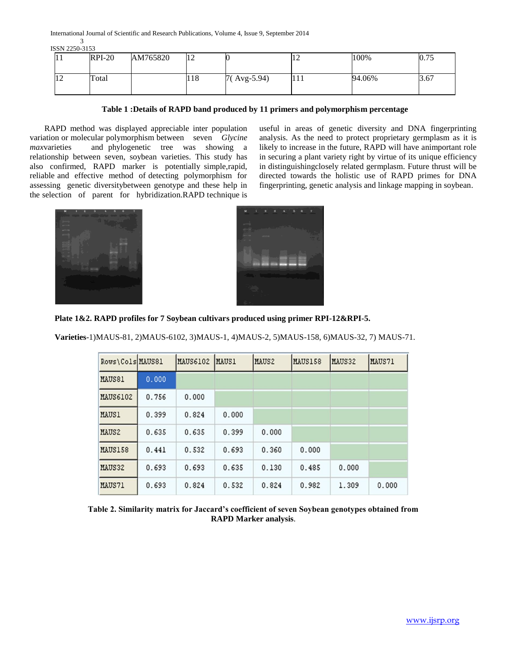International Journal of Scientific and Research Publications, Volume 4, Issue 9, September 2014 3

ISSN 2250-3153

| 11 | $RPI-20$ | AM765820 | 12  |               | 14  | 100%   | 0.75 |
|----|----------|----------|-----|---------------|-----|--------|------|
| 12 | Total    |          | 118 | $7(Avg-5.94)$ | 111 | 94.06% | 3.67 |

# **Table 1 :Details of RAPD band produced by 11 primers and polymorphism percentage**

 RAPD method was displayed appreciable inter population variation or molecular polymorphism between seven *Glycine max*varieties and phylogenetic tree was showing a relationship between seven, soybean varieties. This study has also confirmed, RAPD marker is potentially simple,rapid, reliable and effective method of detecting polymorphism for assessing genetic diversitybetween genotype and these help in the selection of parent for hybridization.RAPD technique is useful in areas of genetic diversity and DNA fingerprinting analysis. As the need to protect proprietary germplasm as it is likely to increase in the future, RAPD will have animportant role in securing a plant variety right by virtue of its unique efficiency in distinguishingclosely related germplasm. Future thrust will be directed towards the holistic use of RAPD primes for DNA fingerprinting, genetic analysis and linkage mapping in soybean.





**Plate 1&2. RAPD profiles for 7 Soybean cultivars produced using primer RPI-12&RPI-5.**

**Varieties**-1)MAUS-81, 2)MAUS-6102, 3)MAUS-1, 4)MAUS-2, 5)MAUS-158, 6)MAUS-32, 7) MAUS-71.

| Rows\Cols MAUS81 |       | MAUS6102 | <b>MAUS1</b> | MAUS2 | MAUS158 | MAUS32 | MAUS71 |
|------------------|-------|----------|--------------|-------|---------|--------|--------|
| MAUS81           | 0.000 |          |              |       |         |        |        |
| <b>MAUS6102</b>  | 0.756 | 0.000    |              |       |         |        |        |
| <b>MAUS1</b>     | 0.399 | 0.824    | 0.000        |       |         |        |        |
| MAUS2            | 0.635 | 0.635    | 0.399        | 0.000 |         |        |        |
| MAUS158          | 0.441 | 0.532    | 0.693        | 0.360 | 0.000   |        |        |
| MAUS32           | 0.693 | 0.693    | 0.635        | 0.130 | 0.485   | 0.000  |        |
| MAUS71           | 0.693 | 0.824    | 0.532        | 0.824 | 0.982   | 1.309  | 0.000  |

**Table 2. Similarity matrix for Jaccard's coefficient of seven Soybean genotypes obtained from RAPD Marker analysis**.